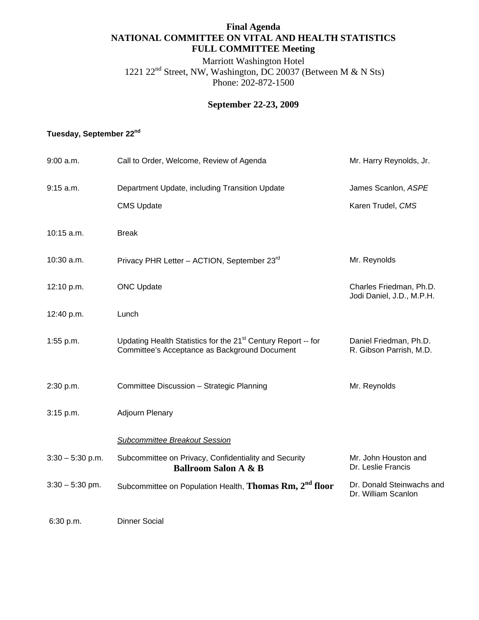### **Final Agenda NATIONAL COMMITTEE ON VITAL AND HEALTH STATISTICS FULL COMMITTEE Meeting**

Marriott Washington Hotel 1221 22nd Street, NW, Washington, DC 20037 (Between M & N Sts) Phone: 202-872-1500

# **September 22-23, 2009**

# **Tuesday, September 22nd**

| 9:00 a.m.          | Call to Order, Welcome, Review of Agenda                                                                                   | Mr. Harry Reynolds, Jr.                              |
|--------------------|----------------------------------------------------------------------------------------------------------------------------|------------------------------------------------------|
| 9:15 a.m.          | Department Update, including Transition Update                                                                             | James Scanlon, ASPE                                  |
|                    | <b>CMS Update</b>                                                                                                          | Karen Trudel, CMS                                    |
| 10:15 a.m.         | <b>Break</b>                                                                                                               |                                                      |
| 10:30 a.m.         | Privacy PHR Letter - ACTION, September 23rd                                                                                | Mr. Reynolds                                         |
| 12:10 p.m.         | <b>ONC Update</b>                                                                                                          | Charles Friedman, Ph.D.<br>Jodi Daniel, J.D., M.P.H. |
| 12:40 p.m.         | Lunch                                                                                                                      |                                                      |
| 1:55 p.m.          | Updating Health Statistics for the 21 <sup>st</sup> Century Report -- for<br>Committee's Acceptance as Background Document | Daniel Friedman, Ph.D.<br>R. Gibson Parrish, M.D.    |
| 2:30 p.m.          | Committee Discussion - Strategic Planning                                                                                  | Mr. Reynolds                                         |
| 3:15 p.m.          | <b>Adjourn Plenary</b>                                                                                                     |                                                      |
|                    | Subcommittee Breakout Session                                                                                              |                                                      |
| $3:30 - 5:30$ p.m. | Subcommittee on Privacy, Confidentiality and Security<br><b>Ballroom Salon A &amp; B</b>                                   | Mr. John Houston and<br>Dr. Leslie Francis           |
| $3:30 - 5:30$ pm.  | Subcommittee on Population Health, Thomas Rm, 2 <sup>nd</sup> floor                                                        | Dr. Donald Steinwachs and<br>Dr. William Scanlon     |
| 6:30 p.m.          | <b>Dinner Social</b>                                                                                                       |                                                      |